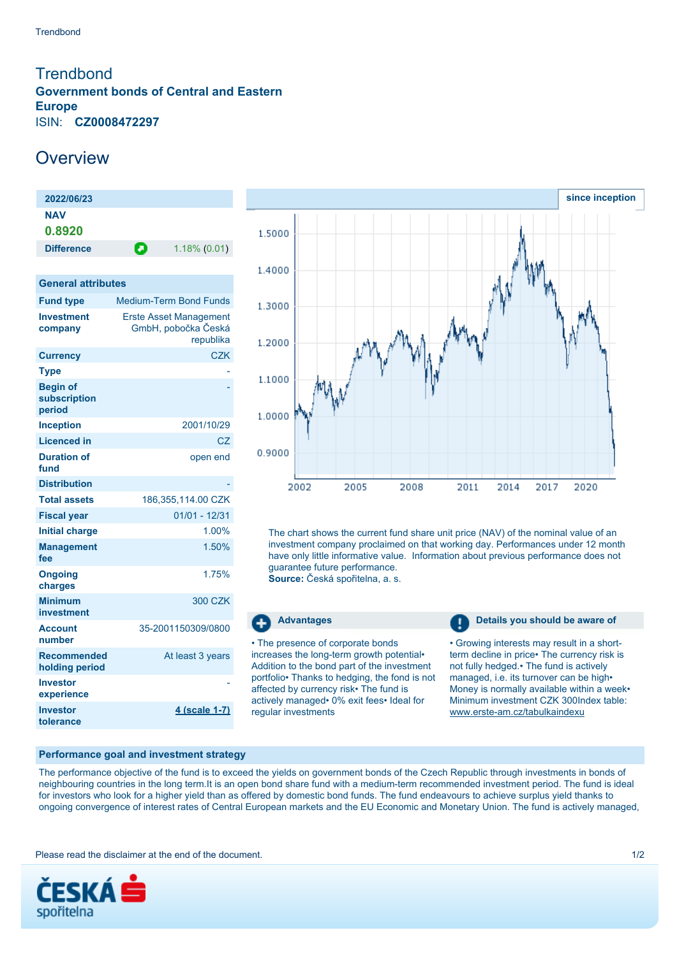## <span id="page-0-0"></span>**Trendbond Government bonds of Central and Eastern Europe** ISIN: **CZ0008472297**

## **Overview**

| 2022/06/23           |   |                 |
|----------------------|---|-----------------|
| <b>NAV</b><br>0.8920 |   |                 |
| <b>Difference</b>    | П | $1.18\%$ (0.01) |
|                      |   |                 |

| <b>General attributes</b> |  |
|---------------------------|--|
|---------------------------|--|

| <b>Fund type</b>                          | <b>Medium-Term Bond Funds</b>                                     |
|-------------------------------------------|-------------------------------------------------------------------|
| <b>Investment</b><br>company              | <b>Erste Asset Management</b><br>GmbH, pobočka Česká<br>republika |
| <b>Currency</b>                           | <b>CZK</b>                                                        |
| <b>Type</b>                               |                                                                   |
| <b>Begin of</b><br>subscription<br>period |                                                                   |
| <b>Inception</b>                          | 2001/10/29                                                        |
| <b>Licenced in</b>                        | CZ                                                                |
| <b>Duration of</b><br>fund                | open end                                                          |
| <b>Distribution</b>                       |                                                                   |
| <b>Total assets</b>                       | 186,355,114.00 CZK                                                |
| <b>Fiscal year</b>                        | $01/01 - 12/31$                                                   |
| <b>Initial charge</b>                     | 1.00%                                                             |
| <b>Management</b><br>fee                  | 1.50%                                                             |
| <b>Ongoing</b><br>charges                 | 1.75%                                                             |
| <b>Minimum</b><br>investment              | 300 CZK                                                           |
| <b>Account</b><br>number                  | 35-2001150309/0800                                                |
| <b>Recommended</b><br>holding period      | At least 3 years                                                  |
| Investor<br>experience                    |                                                                   |
| <b>Investor</b><br>tolerance              | 4 (scale 1-7)                                                     |



The chart shows the current fund share unit price (NAV) of the nominal value of an investment company proclaimed on that working day. Performances under 12 month have only little informative value. Information about previous performance does not guarantee future performance.

**Source:** Česká spořitelna, a. s.

Ŧ

• The presence of corporate bonds increases the long-term growth potential• Addition to the bond part of the investment portfolio• Thanks to hedging, the fond is not affected by currency risk• The fund is actively managed• 0% exit fees• Ideal for regular investments

**Advantages Details you should be aware of Details you should be aware of** 

• Growing interests may result in a shortterm decline in price• The currency risk is not fully hedged.• The fund is actively managed, i.e. its turnover can be high• Money is normally available within a week• Minimum investment CZK 300Index table: [www.erste-am.cz/tabulkaindexu](http://www.erste-am.cz/tabulkaindexu)

## **Performance goal and investment strategy**

The performance objective of the fund is to exceed the yields on government bonds of the Czech Republic through investments in bonds of neighbouring countries in the long term.It is an open bond share fund with a medium-term recommended investment period. The fund is ideal for investors who look for a higher yield than as offered by domestic bond funds. The fund endeavours to achieve surplus yield thanks to ongoing convergence of interest rates of Central European markets and the EU Economic and Monetary Union. The fund is actively managed,

Please read the disclaimer at the end of the document. The state of the document of the state of the document of the state of the document of the state of the state of the document of the state of the state of the state of